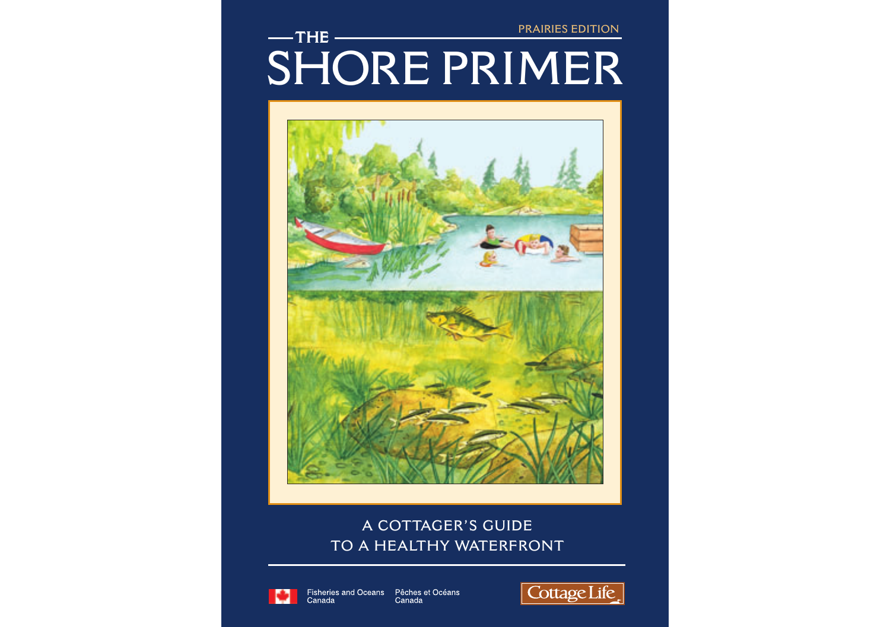**PRAIRIES EDITION**

# **SHORE PRIMER**  $-$ THE $-$



# **A COTTAGER'S GUIDE TO A HEALTHY WATERFRONT**



Fisheries and Oceans Pêches et Océans<br>Canada Canada

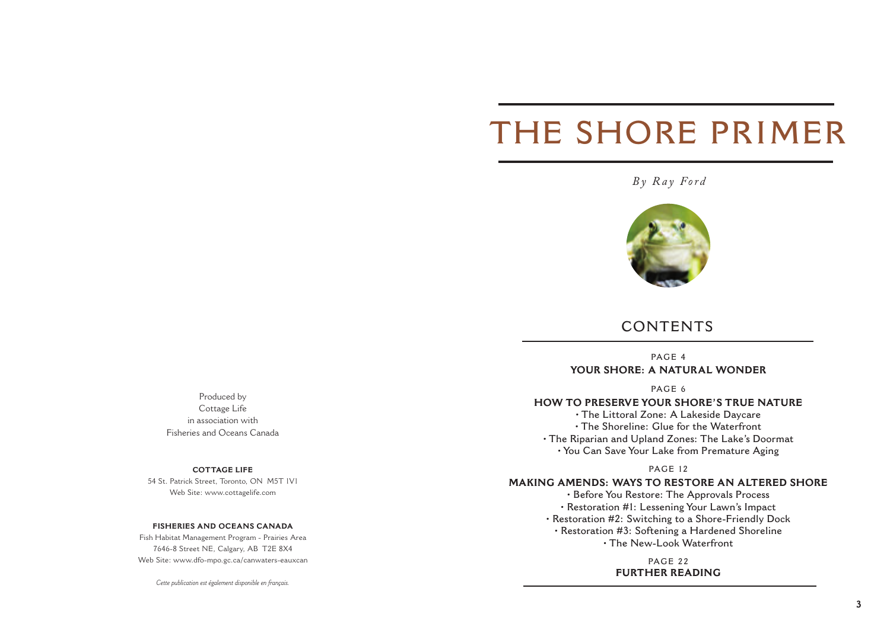# **THE SHORE PRIMER**

# *By Ray Ford*



# **CONTENTS**

**PAGE 4 YOUR SHORE: A NATURAL WONDER**

**PAGE 6**

#### **HOW TO PRESERVE YOUR SHORE'S TRUE NATURE**

**• The Littoral Zone: A Lakeside Daycare • The Shoreline: Glue for the Waterfront • The Riparian and Upland Zones: The Lake's Doormat • You Can Save Your Lake from Premature Aging**

#### **PAGE 12**

#### **MAKING AMENDS: WAYS TO RESTORE AN ALTERED SHORE**

**• Before You Restore: The Approvals Process • Restoration #1: Lessening Your Lawn's Impact • Restoration #2: Switching to a Shore-Friendly Dock • Restoration #3: Softening a Hardened Shoreline • The New-Look Waterfront**

> **PAGE 22 FURTHER READING**

Produced by Cottage Life in association with Fisheries and Oceans Canada

#### **COTTAGE LIFE**

54 St. Patrick Street, Toronto, ON M5T 1V1 Web Site: www.cottagelife.com

#### **FISHERIES AND OCEANS CANADA**

Fish Habitat Management Program - Prairies Area 7646-8 Street NE, Calgary, AB T2E 8X4 Web Site: www.dfo-mpo.gc.ca/canwaters-eauxcan

*Cette publication est également disponible en français.*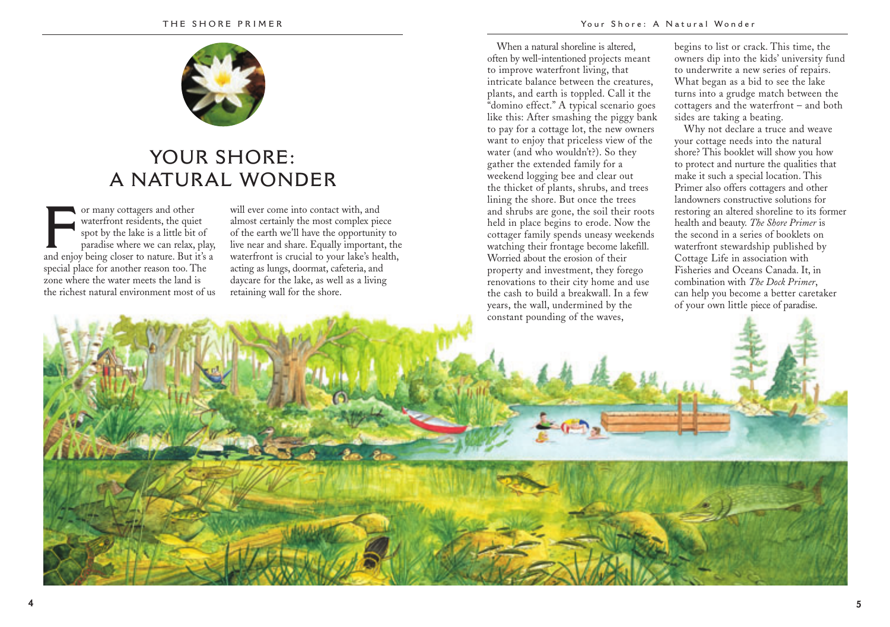

# **YOUR SHORE: A NATURAL WONDER**

For many cottagers and other<br>waterfront residents, the qui<br>spot by the lake is a little bit<br>paradise where we can relax,<br>and enjoy being closer to nature. But waterfront residents, the quiet spot by the lake is a little bit of paradise where we can relax, play, and enjoy being closer to nature. But it's a special place for another reason too. The zone where the water meets the land is the richest natural environment most of us

will ever come into contact with, and almost certainly the most complex piece of the earth we'll have the opportunity to live near and share. Equally important, the waterfront is crucial to your lake's health, acting as lungs, doormat, cafeteria, and daycare for the lake, as well as a living retaining wall for the shore.

When a natural shoreline is altered, often by well-intentioned projects meant to improve waterfront living, that intricate balance between the creatures, plants, and earth is toppled. Call it the "domino effect." A typical scenario goes like this: After smashing the piggy bank to pay for a cottage lot, the new owners want to enjoy that priceless view of the water (and who wouldn't?). So they gather the extended family for a weekend logging bee and clear out the thicket of plants, shrubs, and trees lining the shore. But once the trees and shrubs are gone, the soil their roots held in place begins to erode. Now the cottager family spends uneasy weekends watching their frontage become lakefill. Worried about the erosion of their property and investment, they forego renovations to their city home and use the cash to build a breakwall. In a few years, the wall, undermined by the constant pounding of the waves,

begins to list or crack. This time, the owners dip into the kids' university fund to underwrite a new series of repairs. What began as a bid to see the lake turns into a grudge match between the cottagers and the waterfront – and both sides are taking a beating.

Why not declare a truce and weave your cottage needs into the natural shore? This booklet will show you how to protect and nurture the qualities that make it such a special location. This Primer also offers cottagers and other landowners constructive solutions for restoring an altered shoreline to its former health and beauty. *The Shore Primer* is the second in a series of booklets on waterfront stewardship published by Cottage Life in association with Fisheries and Oceans Canada. It, in combination with *The Dock Primer*, can help you become a better caretaker of your own little piece of paradise.

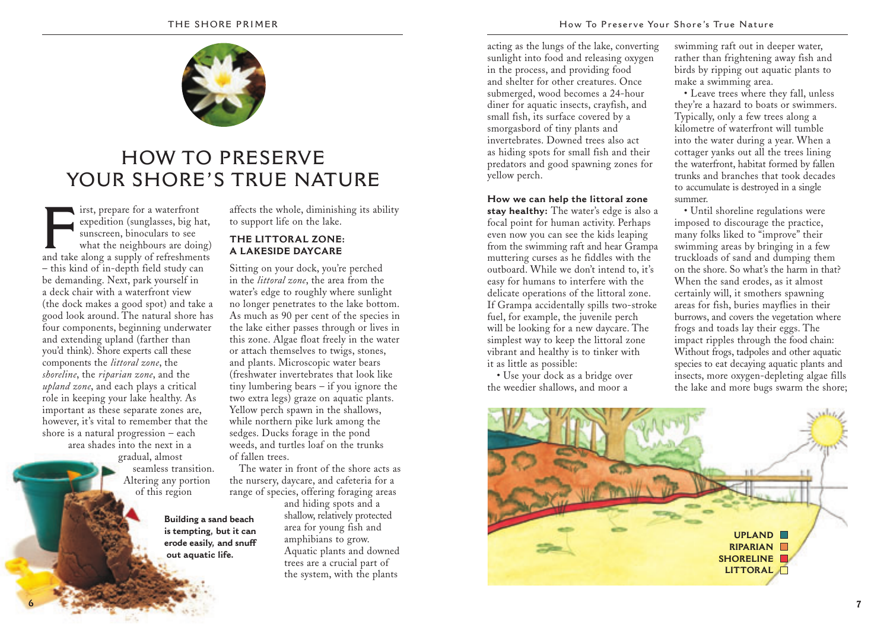

# **HOW TO PRESERVE YOUR SHORE'S TRUE NATURE**

**First, prepare for a waterfront**<br>expedition (sunglasses, big hat,<br>sunscreen, binoculars to see<br>what the neighbours are doing<br>and take along a supply of refreshments expedition (sunglasses, big hat, sunscreen, binoculars to see what the neighbours are doing) – this kind of in-depth field study can be demanding. Next, park yourself in a deck chair with a waterfront view (the dock makes a good spot) and take a good look around. The natural shore has four components, beginning underwater and extending upland (farther than you'd think). Shore experts call these components the *littoral zone*, the *shoreline*, the *riparian zone*, and the *upland zone*, and each plays a critical role in keeping your lake healthy. As important as these separate zones are, however, it's vital to remember that the shore is a natural progression – each area shades into the next in a gradual, almost seamless transition.

**6**

Altering any portion of this region

> **Building a sand beach is tempting, but it can erode easily, and snuff out aquatic life.**

affects the whole, diminishing its ability to support life on the lake.

### **THE LITTORAL ZONE: A LAKESIDE DAYCARE**

Sitting on your dock, you're perched in the *littoral zone*, the area from the water's edge to roughly where sunlight no longer penetrates to the lake bottom. As much as 90 per cent of the species in the lake either passes through or lives in this zone. Algae float freely in the water or attach themselves to twigs, stones, and plants. Microscopic water bears (freshwater invertebrates that look like tiny lumbering bears – if you ignore the two extra legs) graze on aquatic plants. Yellow perch spawn in the shallows, while northern pike lurk among the sedges. Ducks forage in the pond weeds, and turtles loaf on the trunks of fallen trees.

The water in front of the shore acts as the nursery, daycare, and cafeteria for a range of species, offering foraging areas

and hiding spots and a shallow, relatively protected area for young fish and amphibians to grow. Aquatic plants and downed trees are a crucial part of the system, with the plants

acting as the lungs of the lake, converting sunlight into food and releasing oxygen in the process, and providing food and shelter for other creatures. Once submerged, wood becomes a 24-hour diner for aquatic insects, crayfish, and small fish, its surface covered by a smorgasbord of tiny plants and invertebrates. Downed trees also act as hiding spots for small fish and their predators and good spawning zones for yellow perch.

**How we can help the littoral zone stay healthy:** The water's edge is also a focal point for human activity. Perhaps even now you can see the kids leaping from the swimming raft and hear Grampa muttering curses as he fiddles with the outboard. While we don't intend to, it's easy for humans to interfere with the delicate operations of the littoral zone. If Grampa accidentally spills two-stroke fuel, for example, the juvenile perch will be looking for a new daycare. The simplest way to keep the littoral zone vibrant and healthy is to tinker with it as little as possible:

• Use your dock as a bridge over the weedier shallows, and moor a

swimming raft out in deeper water, rather than frightening away fish and birds by ripping out aquatic plants to make a swimming area.

• Leave trees where they fall, unless they're a hazard to boats or swimmers. Typically, only a few trees along a kilometre of waterfront will tumble into the water during a year. When a cottager yanks out all the trees lining the waterfront, habitat formed by fallen trunks and branches that took decades to accumulate is destroyed in a single summer.

• Until shoreline regulations were imposed to discourage the practice, many folks liked to "improve" their swimming areas by bringing in a few truckloads of sand and dumping them on the shore. So what's the harm in that? When the sand erodes, as it almost certainly will, it smothers spawning areas for fish, buries mayflies in their burrows, and covers the vegetation where frogs and toads lay their eggs. The impact ripples through the food chain: Without frogs, tadpoles and other aquatic species to eat decaying aquatic plants and insects, more oxygen-depleting algae fills the lake and more bugs swarm the shore;

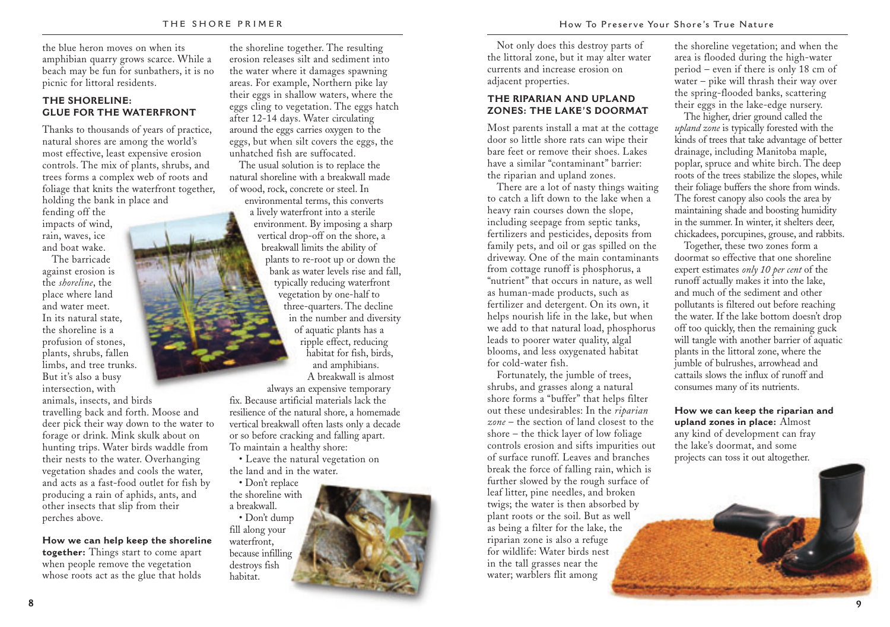the blue heron moves on when its amphibian quarry grows scarce. While a beach may be fun for sunbathers, it is no picnic for littoral residents.

#### **THE SHORELINE: GLUE FOR THE WATERFRONT**

Thanks to thousands of years of practice, natural shores are among the world's most effective, least expensive erosion controls. The mix of plants, shrubs, and trees forms a complex web of roots and foliage that knits the waterfront together, holding the bank in place and

fending off the impacts of wind, rain, waves, ice and boat wake.

The barricade against erosion is the *shoreline*, the place where land and water meet. In its natural state, the shoreline is a profusion of stones, plants, shrubs, fallen limbs, and tree trunks. But it's also a busy intersection, with animals, insects, and birds

travelling back and forth. Moose and deer pick their way down to the water to forage or drink. Mink skulk about on hunting trips. Water birds waddle from their nests to the water. Overhanging vegetation shades and cools the water, and acts as a fast-food outlet for fish by producing a rain of aphids, ants, and other insects that slip from their perches above.

**How we can help keep the shoreline together:** Things start to come apart when people remove the vegetation whose roots act as the glue that holds

the shoreline together. The resulting erosion releases silt and sediment into the water where it damages spawning areas. For example, Northern pike lay their eggs in shallow waters, where the eggs cling to vegetation. The eggs hatch after 12-14 days. Water circulating around the eggs carries oxygen to the eggs, but when silt covers the eggs, the unhatched fish are suffocated.

The usual solution is to replace the natural shoreline with a breakwall made of wood, rock, concrete or steel. In

environmental terms, this converts a lively waterfront into a sterile environment. By imposing a sharp vertical drop-off on the shore, a breakwall limits the ability of plants to re-root up or down the bank as water levels rise and fall, typically reducing waterfront vegetation by one-half to three-quarters. The decline in the number and diversity of aquatic plants has a ripple effect, reducing habitat for fish, birds, and amphibians. A breakwall is almost always an expensive temporary

fix. Because artificial materials lack the resilience of the natural shore, a homemade vertical breakwall often lasts only a decade or so before cracking and falling apart. To maintain a healthy shore:

• Leave the natural vegetation on the land and in the water.

• Don't replace the shoreline with a breakwall. • Don't dump

fill along your waterfront, because infilling destroys fish habitat.



Not only does this destroy parts of the littoral zone, but it may alter water currents and increase erosion on adjacent properties.

#### **THE RIPARIAN AND UPLAND ZONES: THE LAKE'S DOORMAT**

Most parents install a mat at the cottage door so little shore rats can wipe their bare feet or remove their shoes. Lakes have a similar "contaminant" barrier: the riparian and upland zones.

There are a lot of nasty things waiting to catch a lift down to the lake when a heavy rain courses down the slope, including seepage from septic tanks, fertilizers and pesticides, deposits from family pets, and oil or gas spilled on the driveway. One of the main contaminants from cottage runoff is phosphorus, a "nutrient" that occurs in nature, as well as human-made products, such as fertilizer and detergent. On its own, it helps nourish life in the lake, but when we add to that natural load, phosphorus leads to poorer water quality, algal blooms, and less oxygenated habitat for cold-water fish.

Fortunately, the jumble of trees, shrubs, and grasses along a natural shore forms a "buffer" that helps filter out these undesirables: In the *riparian zone* – the section of land closest to the shore – the thick layer of low foliage controls erosion and sifts impurities out of surface runoff. Leaves and branches break the force of falling rain, which is further slowed by the rough surface of leaf litter, pine needles, and broken twigs; the water is then absorbed by plant roots or the soil. But as well as being a filter for the lake, the riparian zone is also a refuge for wildlife: Water birds nest in the tall grasses near the water; warblers flit among

the shoreline vegetation; and when the area is flooded during the high-water period – even if there is only 18 cm of water – pike will thrash their way over the spring-flooded banks, scattering their eggs in the lake-edge nursery.

The higher, drier ground called the *upland zone* is typically forested with the kinds of trees that take advantage of better drainage, including Manitoba maple, poplar, spruce and white birch. The deep roots of the trees stabilize the slopes, while their foliage buffers the shore from winds. The forest canopy also cools the area by maintaining shade and boosting humidity in the summer. In winter, it shelters deer, chickadees, porcupines, grouse, and rabbits.

Together, these two zones form a doormat so effective that one shoreline expert estimates *only 10 per cent* of the runoff actually makes it into the lake, and much of the sediment and other pollutants is filtered out before reaching the water. If the lake bottom doesn't drop off too quickly, then the remaining guck will tangle with another barrier of aquatic plants in the littoral zone, where the jumble of bulrushes, arrowhead and cattails slows the influx of runoff and consumes many of its nutrients.

**How we can keep the riparian and upland zones in place:** Almost any kind of development can fray the lake's doormat, and some projects can toss it out altogether.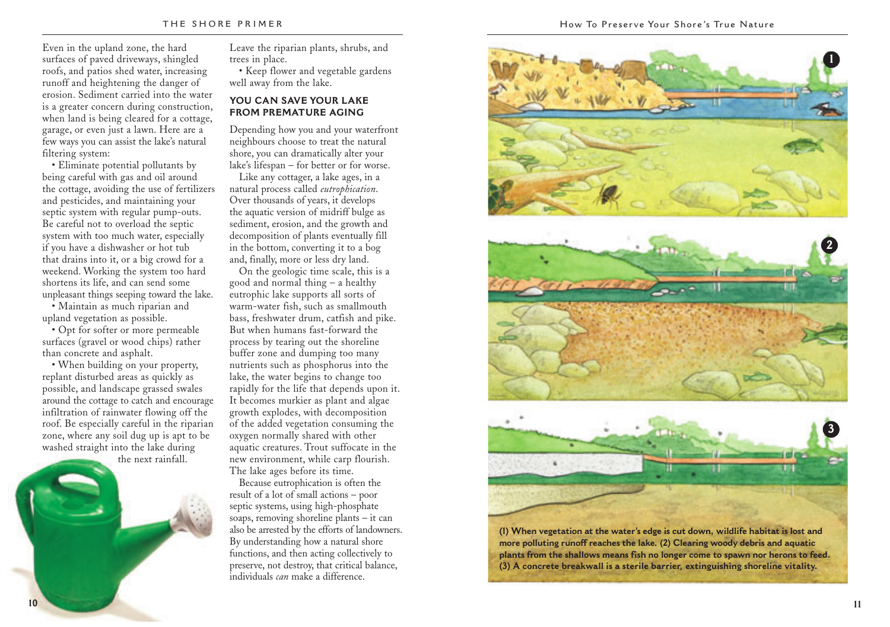Even in the upland zone, the hard surfaces of paved driveways, shingled roofs, and patios shed water, increasing runoff and heightening the danger of erosion. Sediment carried into the water is a greater concern during construction, when land is being cleared for a cottage, garage, or even just a lawn. Here are a few ways you can assist the lake's natural filtering system:

• Eliminate potential pollutants by being careful with gas and oil around the cottage, avoiding the use of fertilizers and pesticides, and maintaining your septic system with regular pump-outs. Be careful not to overload the septic system with too much water, especially if you have a dishwasher or hot tub that drains into it, or a big crowd for a weekend. Working the system too hard shortens its life, and can send some unpleasant things seeping toward the lake.

• Maintain as much riparian and upland vegetation as possible.

• Opt for softer or more permeable surfaces (gravel or wood chips) rather than concrete and asphalt.

• When building on your property, replant disturbed areas as quickly as possible, and landscape grassed swales around the cottage to catch and encourage infiltration of rainwater flowing off the roof. Be especially careful in the riparian zone, where any soil dug up is apt to be washed straight into the lake during

the next rainfall.

Leave the riparian plants, shrubs, and trees in place.

• Keep flower and vegetable gardens well away from the lake.

### **YOU CAN SAVE YOUR LAKE FROM PREMATURE AGING**

Depending how you and your waterfront neighbours choose to treat the natural shore, you can dramatically alter your lake's lifespan – for better or for worse.

Like any cottager, a lake ages, in a natural process called *eutrophication*. Over thousands of years, it develops the aquatic version of midriff bulge as sediment, erosion, and the growth and decomposition of plants eventually fill in the bottom, converting it to a bog and, finally, more or less dry land.

On the geologic time scale, this is a good and normal thing – a healthy eutrophic lake supports all sorts of warm-water fish, such as smallmouth bass, freshwater drum, catfish and pike. But when humans fast-forward the process by tearing out the shoreline buffer zone and dumping too many nutrients such as phosphorus into the lake, the water begins to change too rapidly for the life that depends upon it. It becomes murkier as plant and algae growth explodes, with decomposition of the added vegetation consuming the oxygen normally shared with other aquatic creatures. Trout suffocate in the new environment, while carp flourish. The lake ages before its time.

Because eutrophication is often the result of a lot of small actions – poor septic systems, using high-phosphate soaps, removing shoreline plants – it can also be arrested by the efforts of landowners. By understanding how a natural shore functions, and then acting collectively to preserve, not destroy, that critical balance, individuals *can* make a difference.



**(1) When vegetation at the water's edge is cut down, wildlife habitat is lost and more polluting runoff reaches the lake. (2) Clearing woody debris and aquatic plants from the shallows means fish no longer come to spawn nor herons to feed. (3) A concrete breakwall is a sterile barrier, extinguishing shoreline vitality.**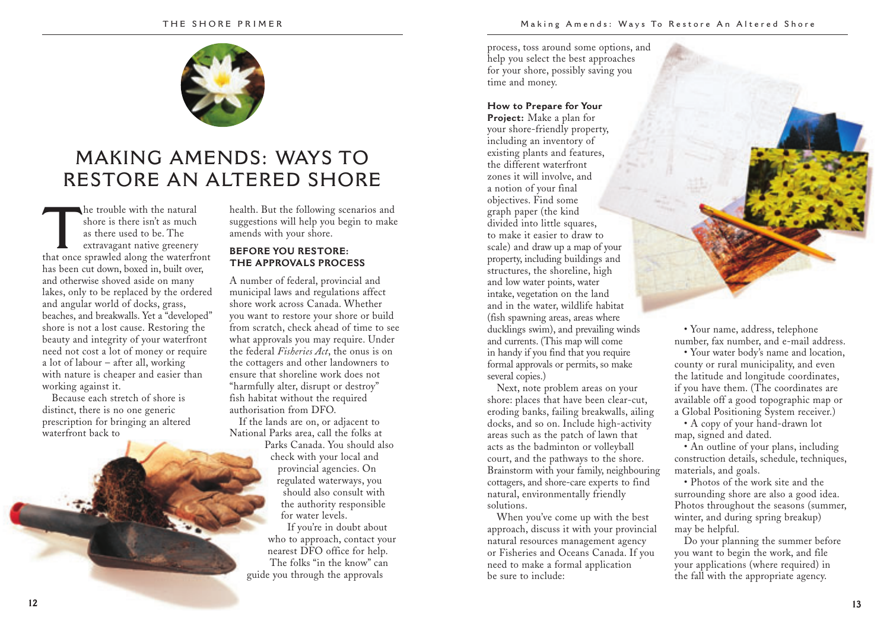

# **MAKING AMENDS: WAYS TO RESTORE AN ALTERED SHORE**

The trouble with the natural<br>
shore is there isn't as much<br>
as there used to be. The<br>
extravagant native greenery<br>
that once sprawled along the waterfront shore is there isn't as much as there used to be. The extravagant native greenery has been cut down, boxed in, built over, and otherwise shoved aside on many lakes, only to be replaced by the ordered and angular world of docks, grass, beaches, and breakwalls. Yet a "developed" shore is not a lost cause. Restoring the beauty and integrity of your waterfront need not cost a lot of money or require a lot of labour – after all, working with nature is cheaper and easier than working against it.

Because each stretch of shore is distinct, there is no one generic prescription for bringing an altered waterfront back to

health. But the following scenarios and suggestions will help you begin to make amends with your shore.

## **BEFORE YOU RESTORE: THE APPROVALS PROCESS**

A number of federal, provincial and municipal laws and regulations affect shore work across Canada. Whether you want to restore your shore or build from scratch, check ahead of time to see what approvals you may require. Under the federal *Fisheries Act*, the onus is on the cottagers and other landowners to ensure that shoreline work does not "harmfully alter, disrupt or destroy" fish habitat without the required authorisation from DFO.

If the lands are on, or adjacent to National Parks area, call the folks at Parks Canada. You should also check with your local and provincial agencies. On regulated waterways, you should also consult with the authority responsible for water levels.

If you're in doubt about who to approach, contact your nearest DFO office for help. The folks "in the know" can guide you through the approvals

process, toss around some options, and help you select the best approaches for your shore, possibly saving you time and money.

#### **How to Prepare for Your**

**Project:** Make a plan for your shore-friendly property, including an inventory of existing plants and features, the different waterfront zones it will involve, and a notion of your final objectives. Find some graph paper (the kind divided into little squares, to make it easier to draw to scale) and draw up a map of your property, including buildings and structures, the shoreline, high and low water points, water intake, vegetation on the land and in the water, wildlife habitat (fish spawning areas, areas where ducklings swim), and prevailing winds and currents. (This map will come in handy if you find that you require formal approvals or permits, so make several copies.)

Next, note problem areas on your shore: places that have been clear-cut, eroding banks, failing breakwalls, ailing docks, and so on. Include high-activity areas such as the patch of lawn that acts as the badminton or volleyball court, and the pathways to the shore. Brainstorm with your family, neighbouring cottagers, and shore-care experts to find natural, environmentally friendly solutions.

When you've come up with the best approach, discuss it with your provincial natural resources management agency or Fisheries and Oceans Canada. If you need to make a formal application be sure to include:

• Your name, address, telephone number, fax number, and e-mail address.

• Your water body's name and location, county or rural municipality, and even the latitude and longitude coordinates, if you have them. (The coordinates are available off a good topographic map or a Global Positioning System receiver.)

• A copy of your hand-drawn lot map, signed and dated.

• An outline of your plans, including construction details, schedule, techniques, materials, and goals.

• Photos of the work site and the surrounding shore are also a good idea. Photos throughout the seasons (summer, winter, and during spring breakup) may be helpful.

Do your planning the summer before you want to begin the work, and file your applications (where required) in the fall with the appropriate agency.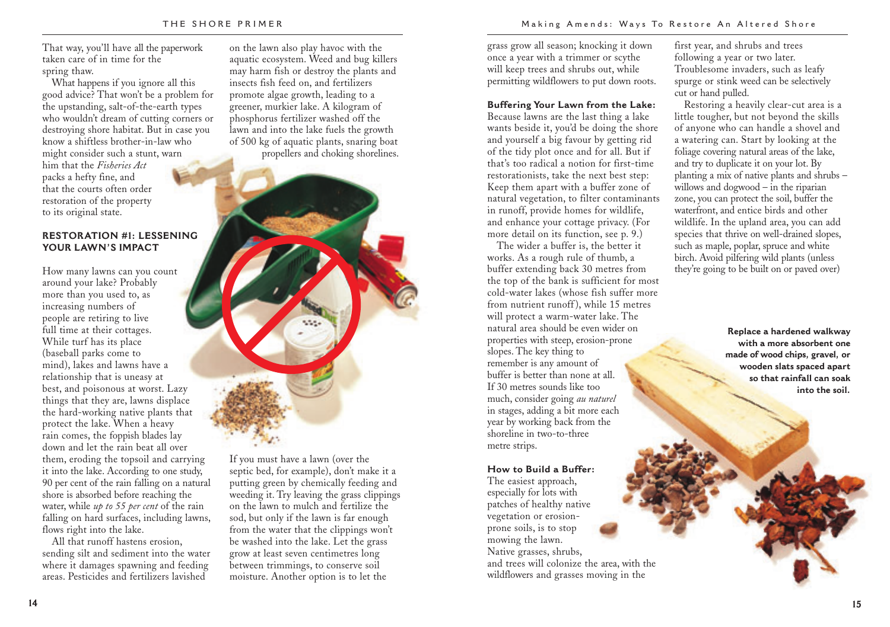That way, you'll have all the paperwork taken care of in time for the spring thaw.

What happens if you ignore all this good advice? That won't be a problem for the upstanding, salt-of-the-earth types who wouldn't dream of cutting corners or destroying shore habitat. But in case you know a shiftless brother-in-law who might consider such a stunt, warn him that the *Fisheries Act* packs a hefty fine, and that the courts often order restoration of the property to its original state.

### **RESTORATION #1: LESSENING YOUR LAWN'S IMPACT**

How many lawns can you count around your lake? Probably more than you used to, as increasing numbers of people are retiring to live full time at their cottages. While turf has its place (baseball parks come to mind), lakes and lawns have a relationship that is uneasy at best, and poisonous at worst. Lazy things that they are, lawns displace the hard-working native plants that protect the lake. When a heavy rain comes, the foppish blades lay down and let the rain beat all over them, eroding the topsoil and carrying it into the lake. According to one study, 90 per cent of the rain falling on a natural shore is absorbed before reaching the water, while *up to 55 per cent* of the rain falling on hard surfaces, including lawns, flows right into the lake.

All that runoff hastens erosion, sending silt and sediment into the water where it damages spawning and feeding areas. Pesticides and fertilizers lavished

on the lawn also play havoc with the aquatic ecosystem. Weed and bug killers may harm fish or destroy the plants and insects fish feed on, and fertilizers promote algae growth, leading to a greener, murkier lake. A kilogram of phosphorus fertilizer washed off the lawn and into the lake fuels the growth of 500 kg of aquatic plants, snaring boat propellers and choking shorelines.



If you must have a lawn (over the septic bed, for example), don't make it a putting green by chemically feeding and weeding it. Try leaving the grass clippings on the lawn to mulch and fertilize the sod, but only if the lawn is far enough from the water that the clippings won't be washed into the lake. Let the grass grow at least seven centimetres long between trimmings, to conserve soil moisture. Another option is to let the

grass grow all season; knocking it down once a year with a trimmer or scythe will keep trees and shrubs out, while permitting wildflowers to put down roots.

### **Buffering Your Lawn from the Lake:**

Because lawns are the last thing a lake wants beside it, you'd be doing the shore and yourself a big favour by getting rid of the tidy plot once and for all. But if that's too radical a notion for first-time restorationists, take the next best step: Keep them apart with a buffer zone of natural vegetation, to filter contaminants in runoff, provide homes for wildlife, and enhance your cottage privacy. (For more detail on its function, see p. 9.)

The wider a buffer is, the better it works. As a rough rule of thumb, a buffer extending back 30 metres from the top of the bank is sufficient for most cold-water lakes (whose fish suffer more from nutrient runoff ), while 15 metres will protect a warm-water lake. The natural area should be even wider on properties with steep, erosion-prone slopes. The key thing to remember is any amount of buffer is better than none at all. If 30 metres sounds like too much, consider going *au naturel* in stages, adding a bit more each year by working back from the shoreline in two-to-three metre strips.

#### **How to Build a Buffer:**

The easiest approach, especially for lots with patches of healthy native vegetation or erosionprone soils, is to stop mowing the lawn. Native grasses, shrubs, and trees will colonize the area, with the wildflowers and grasses moving in the

first year, and shrubs and trees following a year or two later. Troublesome invaders, such as leafy spurge or stink weed can be selectively cut or hand pulled.

Restoring a heavily clear-cut area is a little tougher, but not beyond the skills of anyone who can handle a shovel and a watering can. Start by looking at the foliage covering natural areas of the lake, and try to duplicate it on your lot. By planting a mix of native plants and shrubs – willows and dogwood – in the riparian zone, you can protect the soil, buffer the waterfront, and entice birds and other wildlife. In the upland area, you can add species that thrive on well-drained slopes, such as maple, poplar, spruce and white birch. Avoid pilfering wild plants (unless they're going to be built on or paved over)

> **Replace a hardened walkway with a more absorbent one made of wood chips, gravel, or wooden slats spaced apart so that rainfall can soak into the soil.**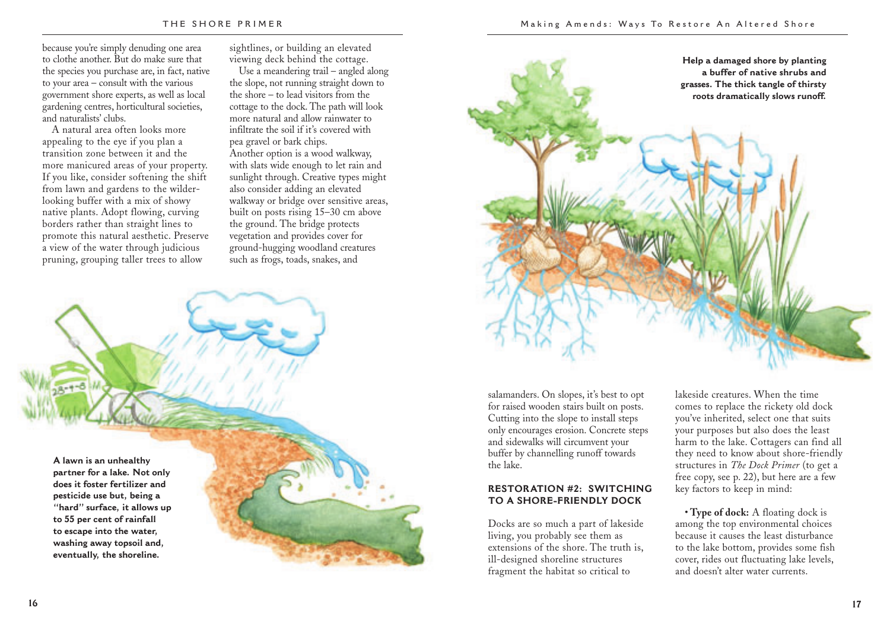because you're simply denuding one area to clothe another. But do make sure that the species you purchase are, in fact, native to your area – consult with the various government shore experts, as well as local gardening centres, horticultural societies, and naturalists' clubs.

A natural area often looks more appealing to the eye if you plan a transition zone between it and the more manicured areas of your property. If you like, consider softening the shift from lawn and gardens to the wilderlooking buffer with a mix of showy native plants. Adopt flowing, curving borders rather than straight lines to promote this natural aesthetic. Preserve a view of the water through judicious pruning, grouping taller trees to allow

sightlines, or building an elevated viewing deck behind the cottage.

Use a meandering trail – angled along the slope, not running straight down to the shore – to lead visitors from the cottage to the dock. The path will look more natural and allow rainwater to infiltrate the soil if it's covered with pea gravel or bark chips. Another option is a wood walkway, with slats wide enough to let rain and sunlight through. Creative types might also consider adding an elevated walkway or bridge over sensitive areas, built on posts rising 15–30 cm above the ground. The bridge protects vegetation and provides cover for ground-hugging woodland creatures such as frogs, toads, snakes, and

**A lawn is an unhealthy partner for a lake. Not only does it foster fertilizer and pesticide use but, being a "hard" surface, it allows up to 55 per cent of rainfall to escape into the water, washing away topsoil and, eventually, the shoreline.**



Docks are so much a part of lakeside living, you probably see them as extensions of the shore. The truth is, ill-designed shoreline structures fragment the habitat so critical to

lakeside creatures. When the time comes to replace the rickety old dock you've inherited, select one that suits your purposes but also does the least harm to the lake. Cottagers can find all they need to know about shore-friendly structures in *The Dock Primer* (to get a free copy, see p. 22), but here are a few key factors to keep in mind:

**Help a damaged shore by planting a buffer of native shrubs and grasses. The thick tangle of thirsty roots dramatically slows runoff.** 

• **Type of dock:** A floating dock is among the top environmental choices because it causes the least disturbance to the lake bottom, provides some fish cover, rides out fluctuating lake levels, and doesn't alter water currents.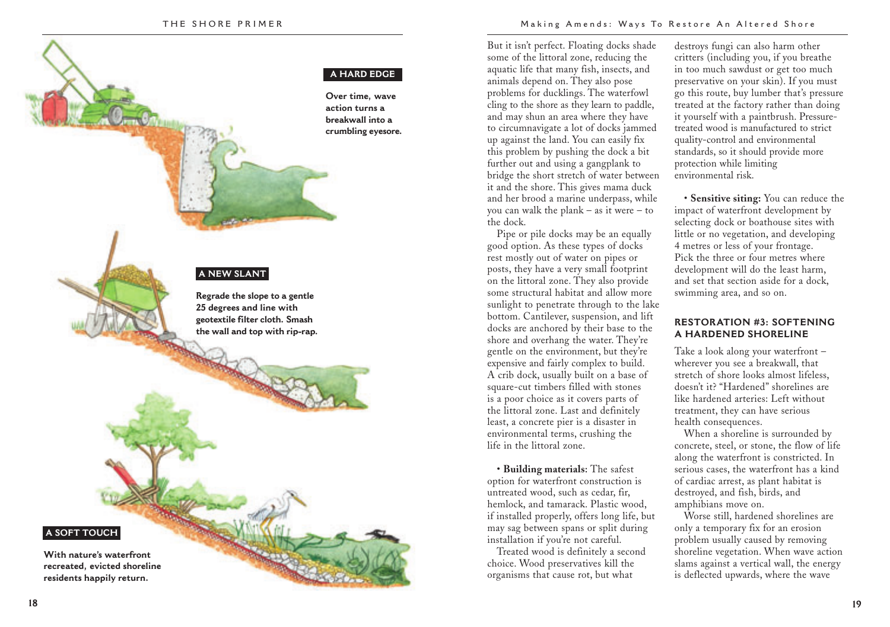#### **A HARD EDGE**

#### **Over time, wave action turns a breakwall into a crumbling eyesore.**

## **A NEW SLANT**

**Regrade the slope to a gentle 25 degrees and line with geotextile filter cloth. Smash the wall and top with rip-rap.**

**A SOFT TOUCH**

**With nature's waterfront recreated, evicted shoreline residents happily return.**

But it isn't perfect. Floating docks shade some of the littoral zone, reducing the aquatic life that many fish, insects, and animals depend on. They also pose problems for ducklings. The waterfowl cling to the shore as they learn to paddle, and may shun an area where they have to circumnavigate a lot of docks jammed up against the land. You can easily fix this problem by pushing the dock a bit further out and using a gangplank to bridge the short stretch of water between it and the shore. This gives mama duck and her brood a marine underpass, while you can walk the plank – as it were – to the dock.

Pipe or pile docks may be an equally good option. As these types of docks rest mostly out of water on pipes or posts, they have a very small footprint on the littoral zone. They also provide some structural habitat and allow more sunlight to penetrate through to the lake bottom. Cantilever, suspension, and lift docks are anchored by their base to the shore and overhang the water. They're gentle on the environment, but they're expensive and fairly complex to build. A crib dock, usually built on a base of square-cut timbers filled with stones is a poor choice as it covers parts of the littoral zone. Last and definitely least, a concrete pier is a disaster in environmental terms, crushing the life in the littoral zone.

• **Building materials:** The safest option for waterfront construction is untreated wood, such as cedar, fir, hemlock, and tamarack. Plastic wood, if installed properly, offers long life, but may sag between spans or split during installation if you're not careful.

Treated wood is definitely a second choice. Wood preservatives kill the organisms that cause rot, but what

destroys fungi can also harm other critters (including you, if you breathe in too much sawdust or get too much preservative on your skin). If you must go this route, buy lumber that's pressure treated at the factory rather than doing it yourself with a paintbrush. Pressuretreated wood is manufactured to strict quality-control and environmental standards, so it should provide more protection while limiting environmental risk.

• **Sensitive siting:** You can reduce the impact of waterfront development by selecting dock or boathouse sites with little or no vegetation, and developing 4 metres or less of your frontage. Pick the three or four metres where development will do the least harm, and set that section aside for a dock, swimming area, and so on.

## **RESTORATION #3: SOFTENING A HARDENED SHORELINE**

Take a look along your waterfront – wherever you see a breakwall, that stretch of shore looks almost lifeless, doesn't it? "Hardened" shorelines are like hardened arteries: Left without treatment, they can have serious health consequences.

When a shoreline is surrounded by concrete, steel, or stone, the flow of life along the waterfront is constricted. In serious cases, the waterfront has a kind of cardiac arrest, as plant habitat is destroyed, and fish, birds, and amphibians move on.

Worse still, hardened shorelines are only a temporary fix for an erosion problem usually caused by removing shoreline vegetation. When wave action slams against a vertical wall, the energy is deflected upwards, where the wave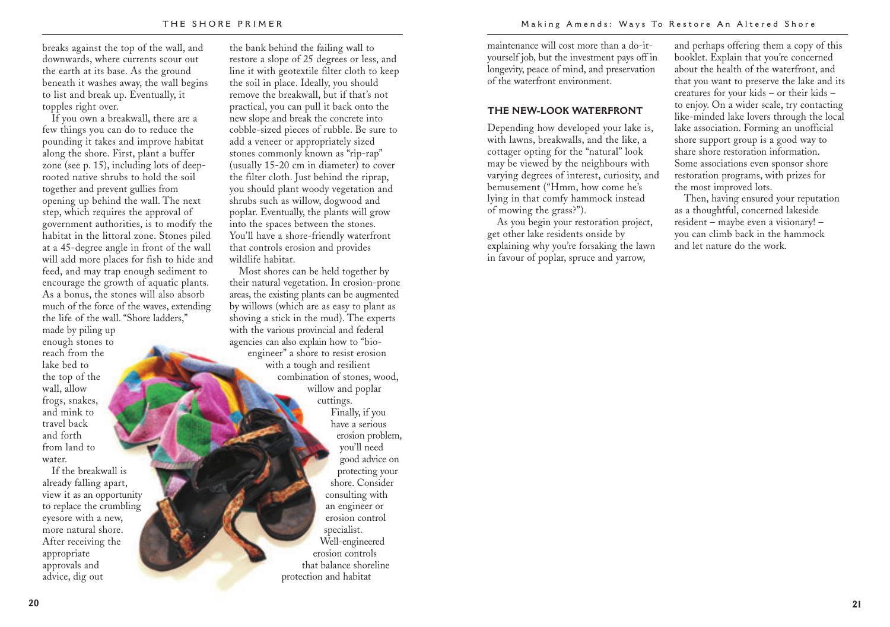breaks against the top of the wall, and downwards, where currents scour out the earth at its base. As the ground beneath it washes away, the wall begins to list and break up. Eventually, it topples right over.

If you own a breakwall, there are a few things you can do to reduce the pounding it takes and improve habitat along the shore. First, plant a buffer zone (see p. 15), including lots of deeprooted native shrubs to hold the soil together and prevent gullies from opening up behind the wall. The next step, which requires the approval of government authorities, is to modify the habitat in the littoral zone. Stones piled at a 45-degree angle in front of the wall will add more places for fish to hide and feed, and may trap enough sediment to encourage the growth of aquatic plants. As a bonus, the stones will also absorb much of the force of the waves, extending the life of the wall. "Shore ladders,"

made by piling up enough stones to reach from the lake bed to the top of the wall, allow frogs, snakes, and mink to travel back and forth from land to water.

If the breakwall is already falling apart, view it as an opportunity to replace the crumbling eyesore with a new, more natural shore. After receiving the appropriate approvals and advice, dig out

the bank behind the failing wall to restore a slope of 25 degrees or less, and line it with geotextile filter cloth to keep the soil in place. Ideally, you should remove the breakwall, but if that's not practical, you can pull it back onto the new slope and break the concrete into cobble-sized pieces of rubble. Be sure to add a veneer or appropriately sized stones commonly known as "rip-rap" (usually 15-20 cm in diameter) to cover the filter cloth. Just behind the riprap, you should plant woody vegetation and shrubs such as willow, dogwood and poplar. Eventually, the plants will grow into the spaces between the stones. You'll have a shore-friendly waterfront that controls erosion and provides wildlife habitat.

Most shores can be held together by their natural vegetation. In erosion-prone areas, the existing plants can be augmented by willows (which are as easy to plant as shoving a stick in the mud). The experts with the various provincial and federal agencies can also explain how to "bioengineer" a shore to resist erosion with a tough and resilient combination of stones, wood, willow and poplar cuttings. Finally, if you have a serious erosion problem, you'll need good advice on protecting your shore. Consider consulting with an engineer or erosion control specialist. Well-engineered erosion controls that balance shoreline protection and habitat

maintenance will cost more than a do-ityourself job, but the investment pays off in longevity, peace of mind, and preservation of the waterfront environment.

#### **THE NEW-LOOK WATERFRONT**

Depending how developed your lake is, with lawns, breakwalls, and the like, a cottager opting for the "natural" look may be viewed by the neighbours with varying degrees of interest, curiosity, and bemusement ("Hmm, how come he's lying in that comfy hammock instead of mowing the grass?").

As you begin your restoration project, get other lake residents onside by explaining why you're forsaking the lawn in favour of poplar, spruce and yarrow,

and perhaps offering them a copy of this booklet. Explain that you're concerned about the health of the waterfront, and that you want to preserve the lake and its creatures for your kids – or their kids – to enjoy. On a wider scale, try contacting like-minded lake lovers through the local lake association. Forming an unofficial shore support group is a good way to share shore restoration information. Some associations even sponsor shore restoration programs, with prizes for the most improved lots.

Then, having ensured your reputation as a thoughtful, concerned lakeside resident – maybe even a visionary! – you can climb back in the hammock and let nature do the work.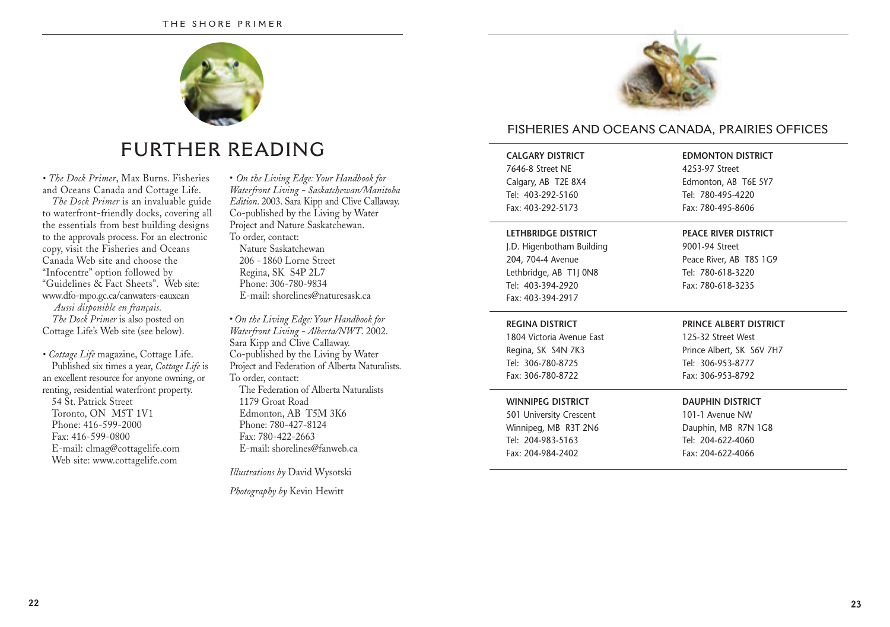

# **FURTHER READING**

*• The Dock Primer*, Max Burns. Fisheries and Oceans Canada and Cottage Life.

*The Dock Primer* is an invaluable guide to waterfront-friendly docks, covering all the essentials from best building designs to the approvals process. For an electronic copy, visit the Fisheries and Oceans Canada Web site and choose the "Infocentre" option followed by "Guidelines & Fact Sheets". Web site: www.dfo-mpo.gc.ca/canwaters-eauxcan *Aussi disponible en français. The Dock Primer* is also posted on Cottage Life's Web site (see below).

*• Cottage Life* magazine, Cottage Life. Published six times a year, *Cottage Life* is an excellent resource for anyone owning, or renting, residential waterfront property. 54 St. Patrick Street Toronto, ON M5T 1V1 Phone: 416-599-2000 Fax: 416-599-0800 E-mail: clmag@cottagelife.com Web site: www.cottagelife.com

• *On the Living Edge: Your Handbook for Waterfront Living - Saskatchewan/Manitoba Edition*. 2003. Sara Kipp and Clive Callaway. Co-published by the Living by Water Project and Nature Saskatchewan. To order, contact: Nature Saskatchewan 206 - 1860 Lorne Street

Regina, SK S4P 2L7 Phone: 306-780-9834 E-mail: shorelines@naturesask.ca

• *On the Living Edge: Your Handbook for Waterfront Living - Alberta/NWT*. 2002. Sara Kipp and Clive Callaway. Co-published by the Living by Water Project and Federation of Alberta Naturalists. To order, contact: The Federation of Alberta Naturalists 1179 Groat Road Edmonton, AB T5M 3K6 Phone: 780-427-8124 Fax: 780-422-2663 E-mail: shorelines@fanweb.ca

*Illustrations by* David Wysotski

*Photography by* Kevin Hewitt



# **FISHERIES AND OCEANS CANADA, PRAIRIES OFFICES**

## **CALGARY DISTRICT** 7646-8 Street NE

Calgary, AB T2E 8X4 Tel: 403-292-5160 Fax: 403-292-5173

## **LETHBRIDGE DISTRICT**

J.D. Higenbotham Building 204, 704-4 Avenue Lethbridge, AB T1J 0N8 Tel: 403-394-2920 Fax: 403-394-2917

Peace River, AB T8S 1G9 Tel: 780-618-3220 Fax: 780-618-3235

#### **REGINA DISTRICT**

1804 Victoria Avenue East Regina, SK S4N 7K3 Tel: 306-780-8725 Fax: 306-780-8722

### **WINNIPEG DISTRICT**

501 University Crescent Winnipeg, MB R3T 2N6 Tel: 204-983-5163 Fax: 204-984-2402

#### **PRINCE ALBERT DISTRICT**

**EDMONTON DISTRICT** 4253-97 Street Edmonton, AB T6E 5Y7 Tel: 780-495-4220 Fax: 780-495-8606

**PEACE RIVER DISTRICT** 9001-94 Street

125-32 Street West Prince Albert, SK S6V 7H7 Tel: 306-953-8777 Fax: 306-953-8792

#### **DAUPHIN DISTRICT**

101-1 Avenue NW Dauphin, MB R7N 1G8 Tel: 204-622-4060 Fax: 204-622-4066